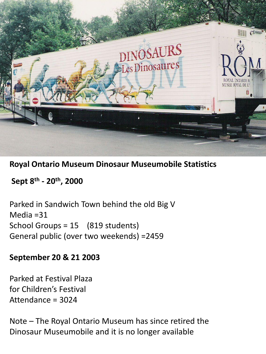

**Royal Ontario Museum Dinosaur Museumobile Statistics**

**Sept 8th - 20th , 2000**

Parked in Sandwich Town behind the old Big V Media =31 School Groups = 15 (819 students) General public (over two weekends) =2459

### **September 20 & 21 2003**

Parked at Festival Plaza for Children's Festival Attendance = 3024

Note – The Royal Ontario Museum has since retired the Dinosaur Museumobile and it is no longer available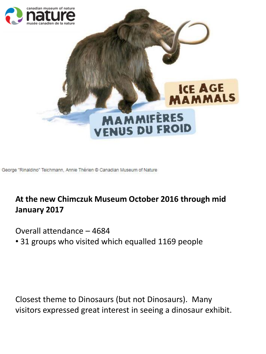

George "Rinaldino" Teichmann, Annie Thérien @ Canadian Museum of Nature

## **At the new Chimczuk Museum October 2016 through mid January 2017**

Overall attendance – 4684

• 31 groups who visited which equalled 1169 people

Closest theme to Dinosaurs (but not Dinosaurs). Many visitors expressed great interest in seeing a dinosaur exhibit.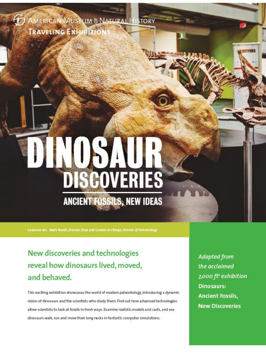AMERICAN MUSEUM & NATURAL HISTORY **TRAVELING EXHIBITION** 

# USAU. DISCOVERIES **ANCIENT FOSSILS, NEW IDEAS**

cusatso av. Mark Norell, Division Chair and Curator-in-Charge, Division of Paleontology

New discoveries and technologies reveal how dinosaurs lived, moved, and behaved.

This exciting exhibition showcases the world of modern paleontology, introducing a dynamic vision of dinosaurs and the scientists who study them. Find out how advanced technologies allow scientists to look at fossils in fresh ways. Examine realistic models and casts, and see dinosaurs walk, run and move their long necks in fantastic computer simulations.

**Adapted from** the acclaimed 7,000 ft<sup>2</sup> exhibition Dinosaurs: **Ancient Fossils. New Discoveries** 

**TITLES**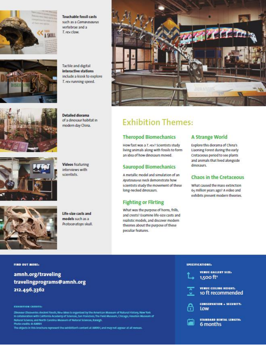

**Touchable fossil casts** such as a Camarasaurus vertebrae and a T. rex claw.



Tactile and digital interactive stations include a kiosk to explore T. rex running speed.



**Detailed diorama** of a dinosaur habitat in modern day China.





**Videos featuring** 

interviews with scientists.

Life-size casts and models such as a Protoceratops skull.



## **Exhibition Themes:**

#### **Theropod Biomechanics**

How fast was a T. rex? Scientists study living animals along with fossils to form an idea of how dinosaurs moved.

#### **Sauropod Biomechanics**

A metallic model and simulation of an Apatosaurus neck demonstrate how scientists study the movement of these long-necked dinosaurs.

#### **Fighting or Flirting**

What was the purpose of horns, frills, and crests? Examine life-size casts and realistic models, and discover moderntheories about the purpose of these peculiar features.

#### A Strange World

Explore this diorama of China's Liaoning Forest during the early Cretaceous period to see plants and animals that lived alongside dinosaurs.

#### **Chaos in the Cretaceous**

What caused the mass extinction 65 million years ago? A video and exhibits present modern theories.

#### **FIND OUT MORE:**

amnh.org/traveling travelingprograms@amnh.org 212.496.3362

#### **EXHIBITION CREDITS:**

Dinosaur Discoveries-Andent Rossits, New Ideas is organized by the American Museum of Natural History, Now York<br>In collaboration with California Academy of Sciences, San Francisco; The Field Museum, Chicago; Houston Museum **Photo cradits: @ AMNH** 

The objects in this brochure represent the exhibition's content at AMNH, and may not appear at all venues.

#### SPECIFICATIONS:

| <b>VENUE GALLERY SIZE,</b><br>$1,500$ ft <sup>2</sup> |
|-------------------------------------------------------|
| <b>VENUE CEILING HEIGHT:</b><br>10 ft recommended     |
| <b>CONSERVATION + SECURITY:</b><br>low                |
| <b>STANDARD RENTAL LENGTH:</b><br>6 months            |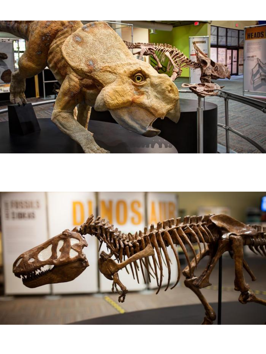

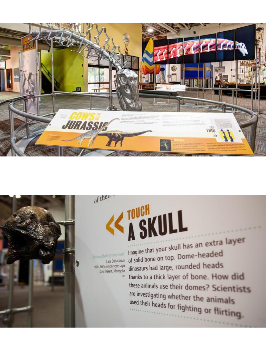

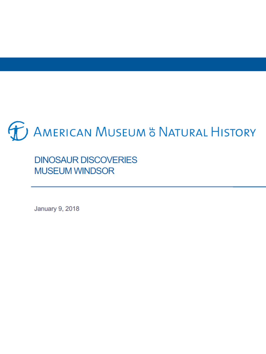## AMERICAN MUSEUM & NATURAL HISTORY

## **DINOSAUR DISCOVERIES MUSEUM WINDSOR**

**January 9, 2018**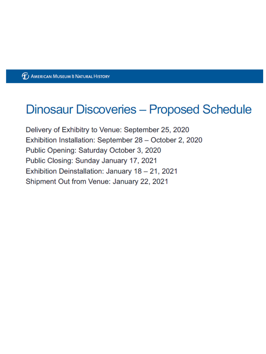**F** AMERICAN MUSEUM & NATURAL HISTORY

## Dinosaur Discoveries - Proposed Schedule

Delivery of Exhibitry to Venue: September 25, 2020 Exhibition Installation: September 28 - October 2, 2020 Public Opening: Saturday October 3, 2020 Public Closing: Sunday January 17, 2021 Exhibition Deinstallation: January 18 - 21, 2021 Shipment Out from Venue: January 22, 2021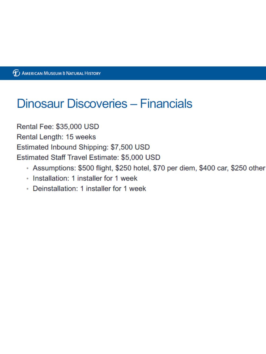

## **Dinosaur Discoveries - Financials**

Rental Fee: \$35,000 USD Rental Length: 15 weeks Estimated Inbound Shipping: \$7,500 USD Estimated Staff Travel Estimate: \$5,000 USD

- Assumptions: \$500 flight, \$250 hotel, \$70 per diem, \$400 car, \$250 other
- · Installation: 1 installer for 1 week
- Deinstallation: 1 installer for 1 week